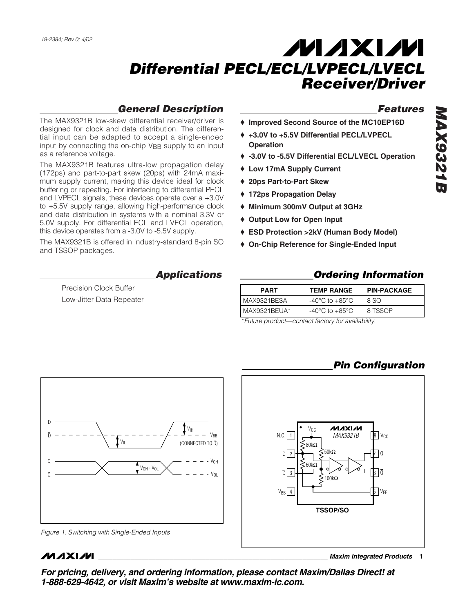### *General Description*

The MAX9321B low-skew differential receiver/driver is designed for clock and data distribution. The differential input can be adapted to accept a single-ended input by connecting the on-chip V<sub>BB</sub> supply to an input as a reference voltage.

The MAX9321B features ultra-low propagation delay (172ps) and part-to-part skew (20ps) with 24mA maximum supply current, making this device ideal for clock buffering or repeating. For interfacing to differential PECL and LVPECL signals, these devices operate over a +3.0V to +5.5V supply range, allowing high-performance clock and data distribution in systems with a nominal 3.3V or 5.0V supply. For differential ECL and LVECL operation, this device operates from a -3.0V to -5.5V supply.

The MAX9321B is offered in industry-standard 8-pin SO and TSSOP packages.

*Applications*

Precision Clock Buffer Low-Jitter Data Repeater

### *Features*

- ♦ **Improved Second Source of the MC10EP16D**
- ♦ **+3.0V to +5.5V Differential PECL/LVPECL Operation**
- ♦ **-3.0V to -5.5V Differential ECL/LVECL Operation**
- ♦ **Low 17mA Supply Current**
- ♦ **20ps Part-to-Part Skew**
- ♦ **172ps Propagation Delay**
- ♦ **Minimum 300mV Output at 3GHz**
- ♦ **Output Low for Open Input**
- ♦ **ESD Protection >2kV (Human Body Model)**
- ♦ **On-Chip Reference for Single-Ended Input**

### *Ordering Information*

| <b>PART</b>   | <b>TEMP RANGE</b>                  | <b>PIN-PACKAGE</b> |
|---------------|------------------------------------|--------------------|
| MAX9321BESA   | $-40^{\circ}$ C to $+85^{\circ}$ C | 8 SO               |
| MAX9321BEUA*  | $-40^{\circ}$ C to $+85^{\circ}$ C | 8 TSSOP            |
| $\sim$ $\sim$ | $\sim$ $\sim$ $\sim$ $\sim$ $\sim$ |                    |

\**Future product—contact factory for availability.*

## *Pin Configuration*



## **MAXIM**

**\_\_\_\_\_\_\_\_\_\_\_\_\_\_\_\_\_\_\_\_\_\_\_\_\_\_\_\_\_\_\_\_\_\_\_\_\_\_\_\_\_\_\_\_\_\_\_\_\_\_\_\_\_\_\_\_\_\_\_\_\_\_\_\_** *Maxim Integrated Products* **1**

*MAX9321B* **MAX93211** 

*For pricing, delivery, and ordering information, please contact Maxim/Dallas Direct! at 1-888-629-4642, or visit Maxim's website at www.maxim-ic.com.*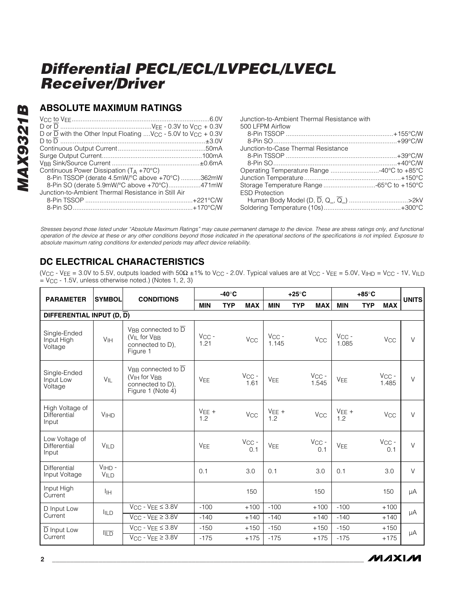### **ABSOLUTE MAXIMUM RATINGS**

| D or D with the Other Input Floating  V <sub>CC</sub> - 5.0V to V <sub>CC</sub> + 0.3V |
|----------------------------------------------------------------------------------------|
|                                                                                        |
|                                                                                        |
|                                                                                        |
|                                                                                        |
| Continuous Power Dissipation $(T_A + 70^{\circ}C)$                                     |
| 8-Pin TSSOP (derate 4.5mW/°C above +70°C) 362mW                                        |
| 8-Pin SO (derate 5.9mW/°C above +70°C)471mW                                            |
| Junction-to-Ambient Thermal Resistance in Still Air                                    |
|                                                                                        |
|                                                                                        |

| Junction-to-Ambient Thermal Resistance with |  |
|---------------------------------------------|--|
| 500 LFPM Airflow                            |  |
|                                             |  |
|                                             |  |
| Junction-to-Case Thermal Resistance         |  |
|                                             |  |
|                                             |  |
| Operating Temperature Range 40°C to +85°C   |  |
|                                             |  |
| Storage Temperature Range -65°C to +150°C   |  |
| <b>ESD Protection</b>                       |  |
|                                             |  |
|                                             |  |
|                                             |  |

*Stresses beyond those listed under "Absolute Maximum Ratings" may cause permanent damage to the device. These are stress ratings only, and functional operation of the device at these or any other conditions beyond those indicated in the operational sections of the specifications is not implied. Exposure to absolute maximum rating conditions for extended periods may affect device reliability.*

## **DC ELECTRICAL CHARACTERISTICS**

(V<sub>CC</sub> - V<sub>EE</sub> = 3.0V to 5.5V, outputs loaded with 50 $\Omega$  ±1% to V<sub>CC</sub> - 2.0V. Typical values are at V<sub>CC</sub> - V<sub>EE</sub> = 5.0V, V<sub>IHD</sub> = V<sub>CC</sub> - 1V, V<sub>ILD</sub>  $=$  V<sub>CC</sub> - 1.5V, unless otherwise noted.) (Notes 1, 2, 3)

| <b>PARAMETER</b>                         | <b>SYMBOL</b>          | <b>CONDITIONS</b>                                                                                                   | $-40^\circ C$         |            |                       |                     | $+25^{\circ}$ C          |                     | $+85^\circ C$         |            |        |
|------------------------------------------|------------------------|---------------------------------------------------------------------------------------------------------------------|-----------------------|------------|-----------------------|---------------------|--------------------------|---------------------|-----------------------|------------|--------|
|                                          |                        |                                                                                                                     | <b>MIN</b>            | <b>TYP</b> | <b>MAX</b>            | <b>MIN</b>          | <b>TYP</b><br><b>MAX</b> | <b>MIN</b>          | <b>TYP</b>            | <b>MAX</b> | UNITS  |
| DIFFERENTIAL INPUT $(D, \overline{D})$   |                        |                                                                                                                     |                       |            |                       |                     |                          |                     |                       |            |        |
| Single-Ended<br>Input High<br>Voltage    | V <sub>IH</sub>        | V <sub>RR</sub> connected to $\overline{D}$<br>(V <sub>IL</sub> for V <sub>BB</sub><br>connected to D),<br>Figure 1 | $V_{CC}$ -<br>1.21    |            | <b>V<sub>CC</sub></b> | $V_{CC}$ -<br>1.145 | <b>V<sub>CC</sub></b>    | $V_{CC}$ -<br>1.085 | V <sub>CC</sub>       |            | $\vee$ |
| Single-Ended<br>Input Low<br>Voltage     | $V_{\parallel L}$      | V <sub>RR</sub> connected to $\overline{D}$<br>$(VIH$ for $VBB$<br>connected to D),<br>Figure 1 (Note 4)            | <b>VEE</b>            |            | $V_{CC}$ -<br>1.61    | VFF                 | $V_{CC}$ -<br>1.545      | <b>VEE</b>          | $V_{CC}$ -<br>1.485   |            | $\vee$ |
| High Voltage of<br>Differential<br>Input | <b>V<sub>IHD</sub></b> |                                                                                                                     | $VEE +$<br>1.2        |            | V <sub>CC</sub>       | $VEE +$<br>1.2      | <b>V<sub>CC</sub></b>    | $VEE +$<br>1.2      | <b>V<sub>CC</sub></b> |            | $\vee$ |
| Low Voltage of<br>Differential<br>Input  | VILD                   |                                                                                                                     | <b>V<sub>FF</sub></b> |            | $V_{CC}$ -<br>0.1     | VFF                 | $V_{CC}$ -<br>0.1        | <b>VEE</b>          | $V_{CC}$ -            | 0.1        | $\vee$ |
| Differential<br>Input Voltage            | $VHD -$<br>VILD        |                                                                                                                     | 0.1                   |            | 3.0                   | 0.1                 | 3.0                      | 0.1                 | 3.0                   |            | $\vee$ |
| Input High<br>Current                    | Īін                    |                                                                                                                     |                       |            | 150                   |                     | 150                      |                     | 150                   |            | μA     |
| D Input Low                              | <b>IILD</b>            | $V_{CC}$ - $V_{EE} \leq 3.8V$                                                                                       | $-100$                |            | $+100$                | $-100$              | $+100$                   | $-100$              | $+100$                |            | μA     |
| Current                                  |                        | $V_{CC}$ - $V_{FE} \geq 3.8V$                                                                                       | $-140$                |            | $+140$                | $-140$              | $+140$                   | $-140$              | $+140$                |            |        |
| D Input Low                              | <b>ITD</b>             | $V_{CC}$ - $V_{EE} \leq 3.8V$                                                                                       | $-150$                |            | $+150$                | $-150$              | $+150$                   | $-150$              | $+150$                |            | μA     |
| Current                                  |                        | $V_{CC}$ - $V_{EE} \geq 3.8V$                                                                                       | $-175$                |            | $+175$                | $-175$              | $+175$                   | $-175$              | $+175$                |            |        |

**MAXIM**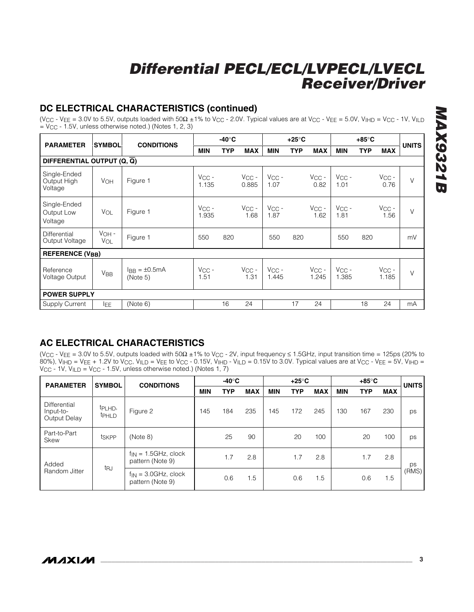## **DC ELECTRICAL CHARACTERISTICS (continued)**

(Vcc - VEE = 3.0V to 5.5V, outputs loaded with  $50\Omega \pm 1\%$  to Vcc - 2.0V. Typical values are at Vcc - VEE = 5.0V, VIHD = Vcc - 1V, VILD  $=$  V<sub>CC</sub> - 1.5V, unless otherwise noted.) (Notes 1, 2, 3)

| <b>PARAMETER</b>                       | <b>SYMBOL</b>         | <b>CONDITIONS</b>             | -40°C               |            |                     |                     | +25°C      |                     |                     |            |                     |              |
|----------------------------------------|-----------------------|-------------------------------|---------------------|------------|---------------------|---------------------|------------|---------------------|---------------------|------------|---------------------|--------------|
|                                        |                       |                               | <b>MIN</b>          | <b>TYP</b> | <b>MAX</b>          | <b>MIN</b>          | <b>TYP</b> | <b>MAX</b>          | <b>MIN</b>          | <b>TYP</b> | <b>MAX</b>          | <b>UNITS</b> |
| DIFFERENTIAL OUTPUT (Q, Q)             |                       |                               |                     |            |                     |                     |            |                     |                     |            |                     |              |
| Single-Ended<br>Output High<br>Voltage | VOH                   | Figure 1                      | $V_{CC}$ -<br>1.135 |            | $V_{CC}$ -<br>0.885 | $V_{CC}$ -<br>1.07  |            | $V_{CC}$ -<br>0.82  | $V_{CC}$ -<br>1.01  |            | $V_{CC}$ -<br>0.76  | $\vee$       |
| Single-Ended<br>Output Low<br>Voltage  | VOL                   | Figure 1                      | $V_{CC}$ -<br>1.935 |            | $V_{CC}$ -<br>1.68  | $V_{CC}$ -<br>1.87  |            | $V_{CC}$ -<br>1.62  | $V_{CC}$ -<br>1.81  |            | $V_{CC}$ -<br>1.56  | $\vee$       |
| Differential<br>Output Voltage         | $VOH -$<br><b>VOL</b> | Figure 1                      | 550                 | 820        |                     | 550                 | 820        |                     | 550                 | 820        |                     | mV           |
| <b>REFERENCE (VBB)</b>                 |                       |                               |                     |            |                     |                     |            |                     |                     |            |                     |              |
| Reference<br>Voltage Output            | <b>V<sub>BB</sub></b> | $IBB = \pm 0.5mA$<br>(Note 5) | $V_{CC}$ -<br>1.51  |            | $V_{CC}$ -<br>1.31  | $V_{CC}$ -<br>1.445 |            | $V_{CC}$ -<br>1.245 | $V_{CC}$ -<br>1.385 |            | $V_{CC}$ -<br>1.185 | $\vee$       |
| <b>POWER SUPPLY</b>                    |                       |                               |                     |            |                     |                     |            |                     |                     |            |                     |              |
| <b>Supply Current</b>                  | <b>IEE</b>            | (Note 6)                      |                     | 16         | 24                  |                     | 17         | 24                  |                     | 18         | 24                  | mA           |

## **AC ELECTRICAL CHARACTERISTICS**

(VCC - VEE = 3.0V to 5.5V, outputs loaded with 50Ω ±1% to VCC - 2V, input frequency ≤ 1.5GHz, input transition time = 125ps (20% to 80%), V<sub>IHD</sub> = V<sub>EE</sub> + 1.2V to V<sub>CC</sub>, V<sub>ILD</sub> = V<sub>EE</sub> to V<sub>CC</sub> - 0.15V, V<sub>IHD</sub> - V<sub>ILD</sub> = 0.15V to 3.0V. Typical values are at V<sub>CC</sub> - V<sub>EE</sub> = 5V, V<sub>IHD</sub> = V<sub>CC</sub> - 1V, V<sub>ILD</sub> = V<sub>CC</sub> - 1.5V, unless otherwise noted.) (Notes 1, 7)

| <b>PARAMETER</b>                          | <b>SYMBOL</b>            | <b>CONDITIONS</b>                             | -40°C                                         |            |            | $+25^\circ$ C |            |            | $+85^\circ$ C |            |            | <b>UNITS</b> |    |
|-------------------------------------------|--------------------------|-----------------------------------------------|-----------------------------------------------|------------|------------|---------------|------------|------------|---------------|------------|------------|--------------|----|
|                                           |                          |                                               | <b>MIN</b>                                    | <b>TYP</b> | <b>MAX</b> | <b>MIN</b>    | <b>TYP</b> | <b>MAX</b> | <b>MIN</b>    | <b>TYP</b> | <b>MAX</b> |              |    |
| Differential<br>Input-to-<br>Output Delay | tpl HD,<br><b>t</b> PHLD | Figure 2                                      | 145                                           | 184        | 235        | 145           | 172        | 245        | 130           | 167        | 230        | ps           |    |
| Part-to-Part<br><b>Skew</b>               | tskPP                    | (Note 8)                                      |                                               | 25         | 90         |               | 20         | 100        |               | 20         | 100        | ps           |    |
| Added<br>Random Jitter                    |                          |                                               | $f_{IN} = 1.5$ GHz, clock<br>pattern (Note 9) |            | 1.7        | 2.8           |            | 1.7        | 2.8           |            | 1.7        | 2.8          | ps |
|                                           | tru                      | $f_{IN} = 3.0$ GHz, clock<br>pattern (Note 9) |                                               | 0.6        | . 5        |               | 0.6        | 1.5        |               | 0.6        | 1.5        | (RMS)        |    |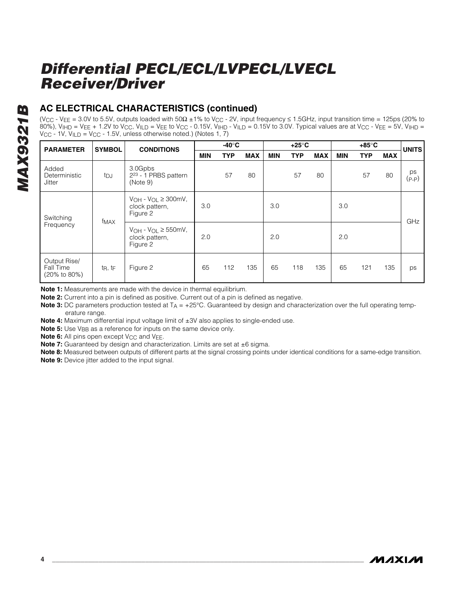## **AC ELECTRICAL CHARACTERISTICS (continued)**

(VCC - VEE = 3.0V to 5.5V, outputs loaded with 50Ω ±1% to VCC - 2V, input frequency ≤ 1.5GHz, input transition time = 125ps (20% to 80%), VIHD = VEE + 1.2V to VCC, VILD = VEE to VCC - 0.15V, VIHD - VILD = 0.15V to 3.0V. Typical values are at VCC - VEE = 5V, VIHD = V<sub>CC</sub> - 1V, V<sub>ILD</sub> = V<sub>CC</sub> - 1.5V, unless otherwise noted.) (Notes 1, 7)

| <b>PARAMETER</b>                          | <b>SYMBOL</b>                    | <b>CONDITIONS</b>                                            | -40°C                                                          |            |            | $+25^\circ$ C |            |            | +85°C      |            |            | <b>UNITS</b> |  |
|-------------------------------------------|----------------------------------|--------------------------------------------------------------|----------------------------------------------------------------|------------|------------|---------------|------------|------------|------------|------------|------------|--------------|--|
|                                           |                                  |                                                              | <b>MIN</b>                                                     | <b>TYP</b> | <b>MAX</b> | <b>MIN</b>    | <b>TYP</b> | <b>MAX</b> | <b>MIN</b> | <b>TYP</b> | <b>MAX</b> |              |  |
| Added<br>Deterministic<br><b>Jitter</b>   | tpj                              | 3.0Gpbs<br>2 <sup>23</sup> - 1 PRBS pattern<br>(Note 9)      |                                                                | 57         | 80         |               | 57         | 80         |            | 57         | 80         | ps<br>(P-P)  |  |
| Switching<br>Frequency                    | f <sub>MAX</sub>                 | $V_{OH} - V_{OL} \geq 300$ mV,<br>clock pattern,<br>Figure 2 | 3.0                                                            |            |            | 3.0           |            |            | 3.0        |            |            | GHz          |  |
|                                           |                                  |                                                              | $V_{OH}$ - $V_{OL} \geq 550$ mV,<br>clock pattern,<br>Figure 2 | 2.0        |            |               | 2.0        |            |            | 2.0        |            |              |  |
| Output Rise/<br>Fall Time<br>(20% to 80%) | $t_{\mathsf{R}}, t_{\mathsf{F}}$ | Figure 2                                                     | 65                                                             | 112        | 135        | 65            | 118        | 135        | 65         | 121        | 135        | ps           |  |

**Note 1:** Measurements are made with the device in thermal equilibrium.

**Note 2:** Current into a pin is defined as positive. Current out of a pin is defined as negative.

**Note 3:** DC parameters production tested at T<sub>A</sub> = +25°C. Guaranteed by design and characterization over the full operating temperature range.

**Note 4:** Maximum differential input voltage limit of ±3V also applies to single-ended use.

**Note 5:** Use V<sub>BB</sub> as a reference for inputs on the same device only.

**Note 6:** All pins open except V<sub>CC</sub> and V<sub>EE</sub>.

**Note 7:** Guaranteed by design and characterization. Limits are set at ±6 sigma.

**Note 8:** Measured between outputs of different parts at the signal crossing points under identical conditions for a same-edge transition. **Note 9:** Device jitter added to the input signal.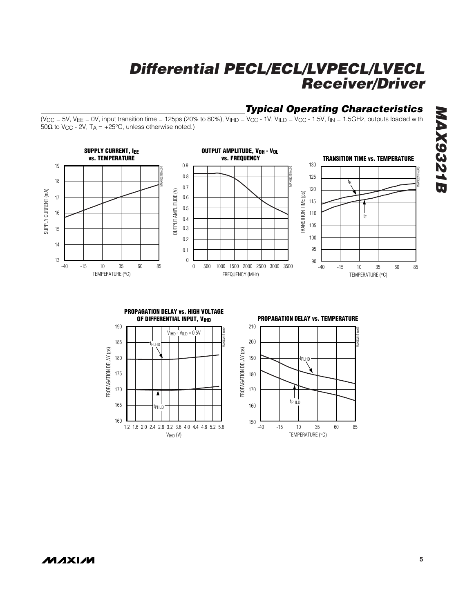### *Typical Operating Characteristics*

MAX9321B toc05

(V<sub>CC</sub> = 5V, V<sub>EE</sub> = 0V, input transition time = 125ps (20% to 80%), V<sub>IHD</sub> = V<sub>CC</sub> - 1V, V<sub>ILD</sub> = V<sub>CC</sub> - 1.5V, f<sub>IN</sub> = 1.5GHz, outputs loaded with  $50Ω$  to V<sub>CC</sub> - 2V, T<sub>A</sub> = +25°C, unless otherwise noted.)





**MAXIM**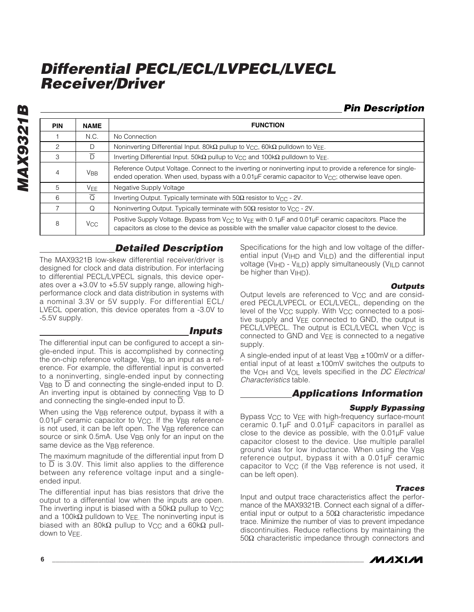*Pin Description*

| <b>PIN</b> | <b>NAME</b>           | <b>FUNCTION</b>                                                                                                                                                                                                                      |
|------------|-----------------------|--------------------------------------------------------------------------------------------------------------------------------------------------------------------------------------------------------------------------------------|
|            | N.C.                  | No Connection                                                                                                                                                                                                                        |
| 2          | D                     | Noninverting Differential Input. 80k $\Omega$ pullup to V <sub>CC</sub> , 60k $\Omega$ pulldown to V <sub>EF</sub> .                                                                                                                 |
| 3          | $\overline{D}$        | Inverting Differential Input. 50k $\Omega$ pullup to V <sub>CC</sub> and 100k $\Omega$ pulldown to V <sub>FF</sub> .                                                                                                                 |
| 4          | <b>V<sub>BB</sub></b> | Reference Output Voltage. Connect to the inverting or noninverting input to provide a reference for single-<br>ended operation. When used, bypass with a $0.01\mu$ F ceramic capacitor to V <sub>CC</sub> ; otherwise leave open.    |
| 5          | <b>VFF</b>            | Negative Supply Voltage                                                                                                                                                                                                              |
| 6          | $\overline{O}$        | Inverting Output. Typically terminate with $50\Omega$ resistor to V <sub>CC</sub> - 2V.                                                                                                                                              |
|            | Q                     | Noninverting Output. Typically terminate with $50\Omega$ resistor to V <sub>CC</sub> - 2V.                                                                                                                                           |
| 8          | V <sub>CC</sub>       | Positive Supply Voltage. Bypass from $V_{\text{CC}}$ to $V_{\text{FE}}$ with 0.1µF and 0.01µF ceramic capacitors. Place the<br>capacitors as close to the device as possible with the smaller value capacitor closest to the device. |

## *Detailed Description*

The MAX9321B low-skew differential receiver/driver is designed for clock and data distribution. For interfacing to differential PECL/LVPECL signals, this device operates over a +3.0V to +5.5V supply range, allowing highperformance clock and data distribution in systems with a nominal 3.3V or 5V supply. For differential ECL/ LVECL operation, this device operates from a -3.0V to -5.5V supply.

#### *Inputs*

The differential input can be configured to accept a single-ended input. This is accomplished by connecting the on-chip reference voltage, VBB, to an input as a reference. For example, the differential input is converted to a noninverting, single-ended input by connecting V<sub>BB</sub> to D and connecting the single-ended input to D. An inverting input is obtained by connecting VBB to D and connecting the single-ended input to  $\overline{D}$ .

When using the VBB reference output, bypass it with a 0.01µF ceramic capacitor to V<sub>CC</sub>. If the V<sub>BB</sub> reference is not used, it can be left open. The VBB reference can source or sink 0.5mA. Use VBB only for an input on the same device as the V<sub>BB</sub> reference.

The maximum magnitude of the differential input from D to D is 3.0V. This limit also applies to the difference between any reference voltage input and a singleended input.

The differential input has bias resistors that drive the output to a differential low when the inputs are open. The inverting input is biased with a  $50k\Omega$  pullup to V<sub>CC</sub> and a 100k $\Omega$  pulldown to VEE. The noninverting input is biased with an 80k $\Omega$  pullup to V<sub>CC</sub> and a 60k $\Omega$  pulldown to VEE.

Specifications for the high and low voltage of the differential input (V<sub>IHD</sub> and  $V_{\text{ILD}}$ ) and the differential input voltage (VIHD - VILD) apply simultaneously (VILD cannot be higher than  $V_{\text{H}}$ D).

#### *Outputs*

Output levels are referenced to V<sub>CC</sub> and are considered PECL/LVPECL or ECL/LVECL, depending on the level of the V<sub>CC</sub> supply. With V<sub>CC</sub> connected to a positive supply and V<sub>EE</sub> connected to GND, the output is PECL/LVPECL. The output is ECL/LVECL when V<sub>CC</sub> is connected to GND and VEE is connected to a negative supply.

A single-ended input of at least V<sub>BB</sub> ± 100mV or a differential input of at least  $\pm 100$ mV switches the outputs to the VOH and VOL levels specified in the *DC Electrical Characteristics* table.

#### *Applications Information*

#### *Supply Bypassing*

Bypass VCC to VEE with high-frequency surface-mount ceramic 0.1µF and 0.01µF capacitors in parallel as close to the device as possible, with the 0.01µF value capacitor closest to the device. Use multiple parallel ground vias for low inductance. When using the VBB reference output, bypass it with a 0.01µF ceramic capacitor to VCC (if the VBB reference is not used, it can be left open).

#### *Traces*

Input and output trace characteristics affect the performance of the MAX9321B. Connect each signal of a differential input or output to a  $50\Omega$  characteristic impedance trace. Minimize the number of vias to prevent impedance discontinuities. Reduce reflections by maintaining the 50Ω characteristic impedance through connectors and



*MAX9321B* **MAX9321B**